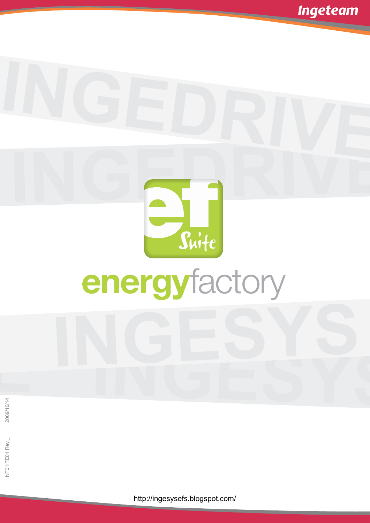

http://ingesysefs.blogspot.com/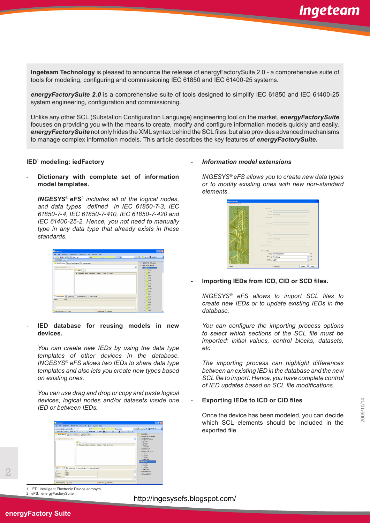**Ingeteam Technology** is pleased to announce the release of energyFactorySuite 2.0 - a comprehensive suite of tools for modeling, configuring and commissioning IEC 61850 and IEC 61400-25 systems.

*energyFactorySuite 2.0* is a comprehensive suite of tools designed to simplify IEC 61850 and IEC 61400-25 system engineering, configuration and commissioning.

Unlike any other SCL (Substation Configuration Language) engineering tool on the market, *energyFactorySuite* focuses on providing you with the means to create, modify and configure information models quickly and easily. *energyFactorySuite* not only hides the XML syntax behind the SCL files, but also provides advanced mechanisms to manage complex information models. This article describes the key features of *energyFactorySuite.*

# **IED1 modeling: iedFactory**

- **Dictionary with complete set of information model templates.** 

*INGESYS*® *eFS<sup>2</sup> includes all of the logical nodes, and data types defined in IEC 61850-7-3, IEC 61850-7-4, IEC 61850-7-410, IEC 61850-7-420 and IEC 61400-25-2. Hence, you not need to manually type in any data type that already exists in these standards.*

| <b>By</b> TedFactory                                                                       |                                                       |                    |     |   |                             | 口回区 |
|--------------------------------------------------------------------------------------------|-------------------------------------------------------|--------------------|-----|---|-----------------------------|-----|
| (the Edit De2CSYSIT BV2CSYSIC3 Ingeteen TD Ecols Fayorbes Help                             |                                                       |                    |     |   |                             |     |
| $G = \begin{bmatrix} 2 & 2 & 4 \\ 4 & 6 & 0 \end{bmatrix}$ (2) $\frac{34}{16}$ 8 ask 7 ype | $\geq 00$                                             | × d                | 日回り |   | <b>TRANSMER SEX 22 X 12</b> |     |
| <b>INGESTSO IT Toolbar</b>                                                                 |                                                       |                    |     |   |                             |     |
| Model Herardty Ed Data Type Template Ed Ingelean News                                      |                                                       |                    |     |   | + ## ED61400 25Tenplate     | ۸   |
|                                                                                            |                                                       |                    |     |   | E FM ED61950Template        |     |
| $\sim$<br>energyFactorsSuite                                                               |                                                       |                    |     | v |                             |     |
| <b>Bill View1</b>                                                                          |                                                       |                    |     |   | E IN ANCR                   |     |
|                                                                                            | Nº Reference Name Description pliddess: Value Up Down |                    |     |   | B IN ARCO                   |     |
|                                                                                            |                                                       |                    |     |   | E IN ATCC.                  |     |
|                                                                                            |                                                       |                    |     |   | E IN AVEO                   |     |
|                                                                                            |                                                       |                    |     |   | E IN CALH                   |     |
|                                                                                            |                                                       |                    |     |   | BIN CCSR                    |     |
|                                                                                            |                                                       |                    |     |   | $\otimes$ N CLO             |     |
|                                                                                            |                                                       |                    |     |   | E IN OPDW                   |     |
|                                                                                            |                                                       |                    |     |   | as IN court                 |     |
|                                                                                            |                                                       |                    |     |   | E IN GAPC                   |     |
| Element Details   11 System Log   Q. Search Results 1   Q. Search Results 2                |                                                       |                    |     |   | $\mathbb{R}$   $\sqrt{660}$ |     |
| <b>Volum</b><br>Name:                                                                      |                                                       |                    |     |   | E IN GSAL                   |     |
|                                                                                            |                                                       |                    |     |   | <b>BIN</b> LABO             |     |
|                                                                                            |                                                       |                    |     |   | $E$ N HM                    |     |
| Z)                                                                                         |                                                       |                    |     |   | <b>E IN ITO</b>             |     |
|                                                                                            |                                                       |                    |     |   | $\otimes$ <b>N</b> ITOO     |     |
| Dezonon ero (1.1.6) - Ready                                                                |                                                       | SANGUESA A MANAGER |     |   |                             |     |

- **IED database for reusing models in new devices.**

*You can create new IEDs by using the data type templates of other devices in the database. INGESYS*® *eFS allows two IEDs to share data type templates and also lets you create new types based on existing ones.* 

*You can use drag and drop or copy and paste logical devices, logical nodes and/or datasets inside one IED or between IEDs.*



# - *Information model extensions*

*INGESYS*® *eFS allows you to create new data types or to modify existing ones with new non-standard elements.* 



# - **Importing IEDs from ICD, CID or SCD files.**

*INGESYS*® *eFS allows to import SCL files to create new IEDs or to update existing IEDs in the database.*

*You can configure the importing process options to select which sections of the SCL file must be imported: initial values, control blocks, datasets, etc.* 

*The importing process can highlight differences between an existing IED in the database and the new SCL file to import. Hence, you have complete control of IED updates based on SCL file modifications.*

# - **Exporting IEDs to ICD or CID files**

Once the device has been modeled, you can decide which SCL elements should be included in the exported file.

1 IED: Intelligent Electronic Device acronym. 2 eFS: energyFactorySuite.

http://ingesysefs.blogspot.com/

2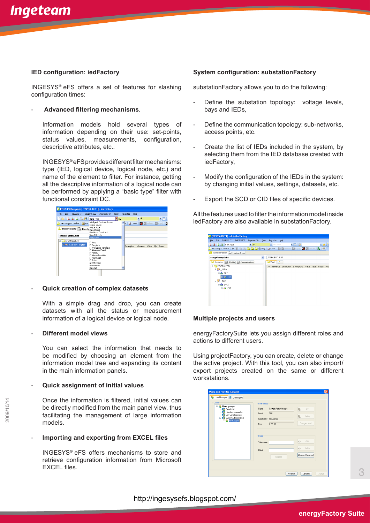## **IED configuration: iedFactory**

INGESYS® eFS offers a set of features for slashing configuration times:

#### - **Advanced filtering mechanisms**.

Information models hold several types of information depending on their use: set-points, status values, measurements, configuration, descriptive attributes, etc..

INGESYS® eFS provides different filter mechanisms: type (IED, logical device, logical node, etc.) and name of the element to filter. For instance, getting all the descriptive information of a logical node can be performed by applying a "basic type" filter with functional constraint DC.

| <sup>1</sup> IED61850 Template [EFSPROJECT1] - iedFactory        |                                                                                                                                                                                      |                   |                   |                                                           |  |
|------------------------------------------------------------------|--------------------------------------------------------------------------------------------------------------------------------------------------------------------------------------|-------------------|-------------------|-----------------------------------------------------------|--|
| Edit<br><b>INGESYS IT</b><br>File                                | INGESYS IC3<br>Ingeteam TD                                                                                                                                                           | <b>Tools</b>      | Favorites<br>Help |                                                           |  |
| 8 6 <del>6</del> 6 9<br>拘                                        | Basic Type                                                                                                                                                                           | $\overline{P}$ DC |                   | ≖ d                                                       |  |
| INGESYS® IT Toolbar ARW<br>Model Hierarchy 3. Data Typata Object | Intelligent Electronic Device<br>Logical Device<br>Logical Node<br><b>Functional Constraint</b>                                                                                      |                   |                   | <b>a</b> Check   <b>M</b> III Rebuild   IT (0)   <b>C</b> |  |
| energyFactorySuite                                               | Data Attribute<br><b>Basic Type</b>                                                                                                                                                  |                   |                   |                                                           |  |
| $\equiv 2$ <b>i</b> EFSPROJECT1<br>III GHT IED61850Template      | <br><b>IT View</b><br>IT Template<br>IT Workspace Template<br>IT Alarm and Event<br>IT History<br>IT Internal variable<br>IT Main Script<br>IT Script<br>All IT Bindings<br>Data Set |                   |                   | Description sAddress Value Up Down                        |  |

# - **Quick creation of complex datasets**

With a simple drag and drop, you can create datasets with all the status or measurement information of a logical device or logical node.

#### - **Different model views**

You can select the information that needs to be modified by choosing an element from the information model tree and expanding its content in the main information panels.

## - **Quick assignment of initial values**

Once the information is filtered, initial values can be directly modified from the main panel view, thus facilitating the management of large information models.

# - **Importing and exporting from EXCEL files**

INGESYS® eFS offers mechanisms to store and retrieve configuration information from Microsoft EXCEL files.

## **System configuration: substationFactory**

substationFactory allows you to do the following:

- Define the substation topology: voltage levels, bays and IEDs,
- Define the communication topology: sub-networks, access points, etc.
- Create the list of IEDs included in the system, by selecting them from the IED database created with iedFactory,
- Modify the configuration of the IEDs in the system: by changing initial values, settings, datasets, etc.
- Export the SCD or CID files of specific devices.

All the features used to filter the information model inside iedFactory are also available in substationFactory.

| <b>PT</b> [EFSPROJECT1] substationFactory                   |                                                                                                                           |
|-------------------------------------------------------------|---------------------------------------------------------------------------------------------------------------------------|
| File<br>Edit<br>INGESYS IT<br>INGESYS IC3 Ingeteam TD Tools | Fayorites<br>Help                                                                                                         |
| <b>Basic Type</b><br>* SP                                   | Text Filter<br>$ \Box$<br>・食り                                                                                             |
|                                                             | INGESYS@ IT Toolber   ofe X ha 图 引 引 引 的 Ping   Di Check   IT IT Rebuild   IT IT (0)   <mark>IC</mark> IC Rebuild   良   图 |
| substationFactory EL Ingeteam News                          |                                                                                                                           |
| energyFactorySuite<br>$\ddot{}$                             | 110kV.BAY1.IED1                                                                                                           |
| Substation <b>Bill IED List Bill Communications</b>         | <b>BM</b> View1                                                                                                           |
| <b>BETTEFSPROJECT1</b>                                      | Nº Reference Description Description2 Value Type INGESYS®IC                                                               |
| $\equiv$ $\frac{1}{2}$ 110kV                                |                                                                                                                           |
| $\equiv$ $\frac{1}{100}$ BAY1                               |                                                                                                                           |
| E ON IED1                                                   |                                                                                                                           |
| $\equiv 5240kV$                                             |                                                                                                                           |
| $\equiv$ $\frac{1}{100}$ BAY2                               |                                                                                                                           |
| $B$ <b>AN</b> IED <sub>2</sub>                              |                                                                                                                           |
|                                                             |                                                                                                                           |
|                                                             |                                                                                                                           |
|                                                             |                                                                                                                           |
|                                                             |                                                                                                                           |

#### **Multiple projects and users**

energyFactorySuite lets you assign different roles and actions to different users.

Using projectFactory, you can create, delete or change the active project. With this tool, you can also import/ export projects created on the same or different workstations.

| <b>Users and Profiles Manager</b>                                                                                                                  |                                                                                                                                                         | ⊠       |
|----------------------------------------------------------------------------------------------------------------------------------------------------|---------------------------------------------------------------------------------------------------------------------------------------------------------|---------|
| User Manager S User Rights                                                                                                                         |                                                                                                                                                         |         |
| Users<br>s.<br><b>User groups</b><br>Developer<br>High Level operator<br>Low Level operator<br>System Administrators<br>曺<br>ó<br><b>B</b> MANAGER | <b>User Group</b><br>System Administrators<br>Name<br>a.<br>Add<br>100<br>Level<br>Delete<br>Reference<br>Created by<br>Change Level<br>0:00:00<br>Date |         |
|                                                                                                                                                    | <b>Users</b><br>d3<br>Add<br>Telephone<br>ab.<br>Delete<br>EMail<br>Change Password<br>Change                                                           |         |
|                                                                                                                                                    | Cancelar<br>Aceptar                                                                                                                                     | Aplicar |

3